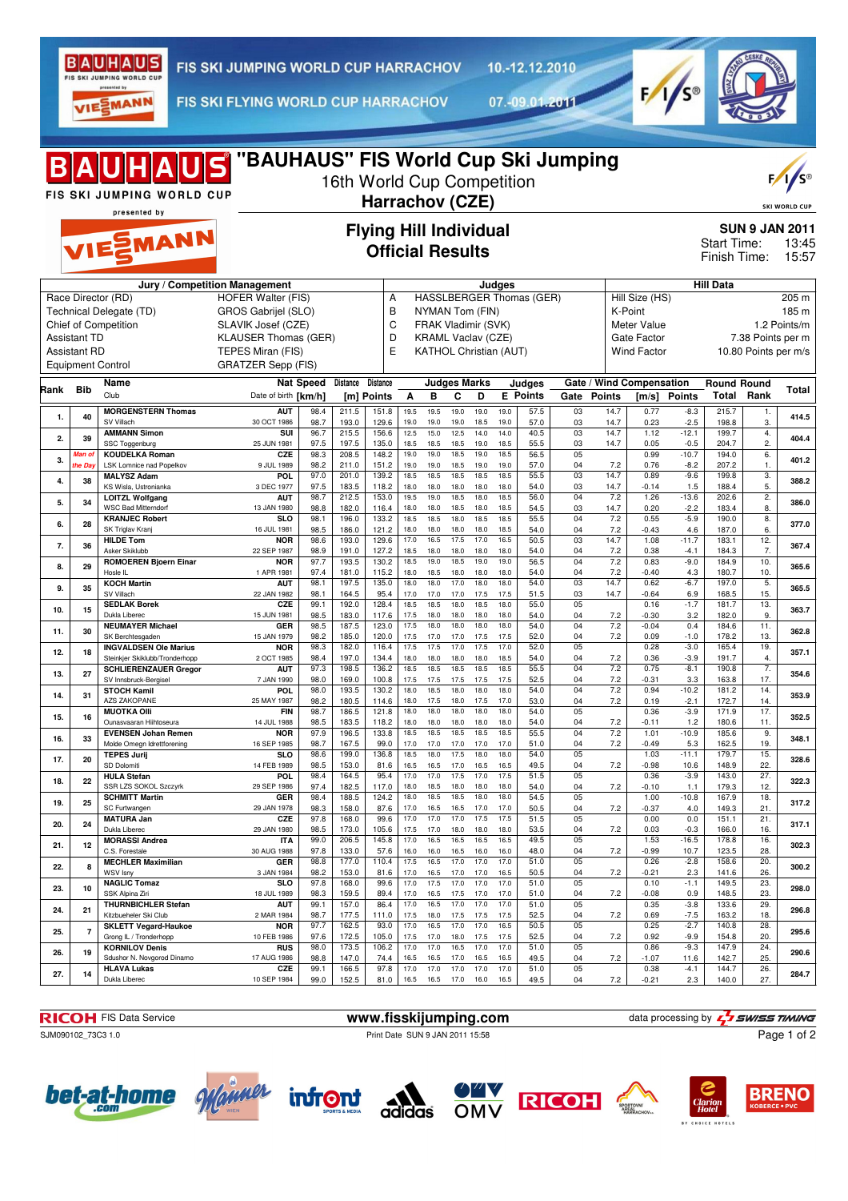

10.-12.12.2010

VIESMANN

FIS SKI FLYING WORLD CUP HARRACHOV

07.-09.01.2011



|      |                     | <b>B A U H A U S</b> "BAUHAUS" FIS World Cup Ski Jumping<br>FIS SKI JUMPING WORLD CUP<br>presented by |                                                  |              | 16th World Cup Competition | Harrachov (CZE)                                          |              |                               |                     |              |              |                          |          |              |                           |                   |                             |                      | F/1/s<br><b>SKI WORLD CUP</b>           |
|------|---------------------|-------------------------------------------------------------------------------------------------------|--------------------------------------------------|--------------|----------------------------|----------------------------------------------------------|--------------|-------------------------------|---------------------|--------------|--------------|--------------------------|----------|--------------|---------------------------|-------------------|-----------------------------|----------------------|-----------------------------------------|
|      |                     | VIESMANN                                                                                              |                                                  |              |                            | <b>Flying Hill Individual</b><br><b>Official Results</b> |              |                               |                     |              |              |                          |          |              |                           |                   | Start Time:<br>Finish Time: |                      | <b>SUN 9 JAN 2011</b><br>13:45<br>15:57 |
|      |                     |                                                                                                       | Jury / Competition Management                    |              |                            |                                                          |              |                               |                     |              | Judges       |                          |          |              |                           |                   | <b>Hill Data</b>            |                      |                                         |
|      |                     | Race Director (RD)<br>Technical Delegate (TD)                                                         | <b>HOFER Walter (FIS)</b><br>GROS Gabrijel (SLO) |              |                            | Α<br>B                                                   |              | NYMAN Tom (FIN)               |                     |              |              | HASSLBERGER Thomas (GER) |          |              | Hill Size (HS)<br>K-Point |                   |                             |                      | 205 m<br>185 m                          |
|      |                     | Chief of Competition                                                                                  | SLAVIK Josef (CZE)                               |              |                            | C                                                        |              | FRAK Vladimir (SVK)           |                     |              |              |                          |          |              | Meter Value               |                   |                             |                      | 1.2 Points/m                            |
|      | <b>Assistant TD</b> |                                                                                                       | <b>KLAUSER Thomas (GER)</b>                      |              |                            | D                                                        |              | <b>KRAML Vaclav (CZE)</b>     |                     |              |              |                          |          |              | Gate Factor               |                   |                             | 7.38 Points per m    |                                         |
|      | <b>Assistant RD</b> |                                                                                                       | TEPES Miran (FIS)                                |              |                            | E                                                        |              | <b>KATHOL Christian (AUT)</b> |                     |              |              |                          |          |              | <b>Wind Factor</b>        |                   |                             | 10.80 Points per m/s |                                         |
|      |                     | <b>Equipment Control</b>                                                                              | <b>GRATZER Sepp (FIS)</b>                        |              |                            |                                                          |              |                               |                     |              |              |                          |          |              |                           |                   |                             |                      |                                         |
| Rank | Bib                 | Name                                                                                                  | <b>Nat Speed</b>                                 |              | Distance                   | <b>Distance</b>                                          |              |                               | <b>Judges Marks</b> |              |              | Judges                   |          |              | Gate / Wind Compensation  |                   | <b>Round Round</b>          |                      | Total                                   |
|      |                     | Club                                                                                                  | Date of birth [km/h]                             |              |                            | [m] Points                                               | A            | B                             | C                   | D            |              | <b>E</b> Points          | Gate     | Points       | [m/s]                     | <b>Points</b>     | <b>Total Rank</b>           |                      |                                         |
| 1.   | 40                  | <b>MORGENSTERN Thomas</b><br>SV Villach                                                               | <b>AUT</b><br>30 OCT 1986                        | 98.4<br>98.7 | 211.5<br>193.0             | 151.8<br>129.6                                           | 19.5<br>19.0 | 19.5<br>19.0                  | 19.0<br>19.0        | 19.0<br>18.5 | 19.0<br>19.0 | 57.5<br>57.0             | 03<br>03 | 14.7<br>14.7 | 0.77<br>0.23              | $-8.3$<br>$-2.5$  | 215.7<br>198.8              | 1.<br>3.             | 414.5                                   |
| 2.   | 39                  | <b>AMMANN Simon</b>                                                                                   | SUI                                              | 96.7         | 215.5                      | 156.6                                                    | 12.5         | 15.0                          | 12.5                | 14.0         | 14.0         | 40.5                     | 03       | 14.7         | 1.12                      | $-12.1$           | 199.7                       | 4.                   | 404.4                                   |
|      | Vlan o              | SSC Toggenburg<br><b>KOUDELKA Roman</b>                                                               | 25 JUN 1981<br>CZE                               | 97.5<br>98.3 | 197.5<br>208.5             | 135.0<br>148.2                                           | 18.5<br>19.0 | 18.5<br>19.0                  | 18.5<br>18.5        | 19.0<br>19.0 | 18.5<br>18.5 | 55.5<br>56.5             | 03<br>05 | 14.7         | 0.05<br>0.99              | $-0.5$<br>$-10.7$ | 204.7<br>194.0              | 2.<br>6.             |                                         |
| 3.   | he Day              | LSK Lomnice nad Popelkov                                                                              | 9 JUL 1989                                       | 98.2         | 211.0                      | 151.2                                                    | 19.0         | 19.0                          | 18.5                | 19.0         | 19.0         | 57.0                     | 04       | 7.2          | 0.76                      | $-8.2$            | 207.2                       | 1.                   | 401.2                                   |
| 4.   | 38                  | <b>MALYSZ Adam</b><br>KS Wisla, Ustronianka                                                           | <b>POL</b><br>3 DEC 1977                         | 97.0<br>97.5 | 201.0<br>183.5             | 139.2<br>118.2                                           | 18.5<br>18.0 | 18.5<br>18.0                  | 18.5<br>18.0        | 18.5<br>18.0 | 18.5<br>18.0 | 55.5<br>54.0             | 03<br>03 | 14.7<br>14.7 | 0.89<br>$-0.14$           | $-9.6$<br>1.5     | 199.8<br>188.4              | 3.<br>5.             | 388.2                                   |
| 5.   | 34                  | <b>LOITZL Wolfgang</b>                                                                                | <b>AUT</b>                                       | 98.7         | 212.5                      | 153.0                                                    | 19.5         | 19.0                          | 18.5                | 18.0         | 18.5         | 56.0                     | 04       | 7.2          | 1.26                      | $-13.6$           | 202.6                       | 2.                   | 386.0                                   |
|      |                     | <b>WSC Bad Mitterndorf</b><br><b>KRANJEC Robert</b>                                                   | 13 JAN 1980<br><b>SLO</b>                        | 98.8<br>98.1 | 182.0<br>196.0             | 116.4<br>133.2                                           | 18.0<br>18.5 | 18.0<br>18.5                  | 18.5<br>18.0        | 18.0<br>18.5 | 18.5<br>18.5 | 54.5<br>55.5             | 03<br>04 | 14.7<br>7.2  | 0.20<br>0.55              | $-2.2$<br>$-5.9$  | 183.4<br>190.0              | 8.<br>8.             |                                         |
| 6.   | 28                  | SK Triglav Kranj                                                                                      | 16 JUL 1981                                      | 98.5         | 186.0                      | 121.2                                                    | 18.0         | 18.0                          | 18.0                | 18.0         | 18.5         | 54.0                     | 04       | 7.2          | $-0.43$                   | 4.6               | 187.0                       | 6.                   | 377.0                                   |
| 7.   | 36                  | <b>HILDE Tom</b>                                                                                      | <b>NOR</b>                                       | 98.6         | 193.0                      | 129.6                                                    | 17.0         | 16.5                          | 17.5                | 17.0         | 16.5         | 50.5                     | 03       | 14.7         | 1.08                      | $-11.7$           | 183.1                       | 12.                  | 367.4                                   |
|      |                     | Asker Skiklubb<br><b>ROMOEREN Bjoern Einar</b>                                                        | 22 SEP 1987<br><b>NOR</b>                        | 98.9<br>97.7 | 191.0<br>193.5             | 127.2<br>130.2                                           | 18.5<br>18.5 | 18.0<br>19.0                  | 18.0<br>18.5        | 18.0<br>19.0 | 18.0<br>19.0 | 54.0<br>56.5             | 04<br>04 | 7.2<br>7.2   | 0.38<br>0.83              | $-4.1$<br>$-9.0$  | 184.3<br>184.9              | 7.<br>10.            |                                         |
| 8.   | 29                  | Hosle IL                                                                                              | 1 APR 1981                                       | 97.4         | 181.0                      | 115.2                                                    | 18.0         | 18.5                          | 18.0                | 18.0         | 18.0         | 54.0                     | 04       | 7.2          | $-0.40$                   | 4.3               | 180.7                       | 10.                  | 365.6                                   |
| 9.   | 35                  | <b>KOCH Martin</b><br>SV Villach                                                                      | <b>AUT</b><br>22 JAN 1982                        | 98.1<br>98.1 | 197.5<br>164.5             | 135.0<br>95.4                                            | 18.0<br>17.0 | 18.0<br>17.0                  | 17.0<br>17.0        | 18.0<br>17.5 | 18.0<br>17.5 | 54.0<br>51.5             | 03<br>03 | 14.7<br>14.7 | 0.62<br>$-0.64$           | $-6.7$<br>6.9     | 197.0<br>168.5              | 5.<br>15.            | 365.5                                   |
| 10.  | 15                  | <b>SEDLAK Borek</b>                                                                                   | CZE                                              | 99.1         | 192.0                      | 128.4                                                    | 18.5         | 18.5                          | 18.0                | 18.5         | 18.0         | 55.0                     | 05       |              | 0.16                      | $-1.7$            | 181.7                       | 13.                  | 363.7                                   |
|      |                     | Dukla Liberec<br><b>NEUMAYER Michael</b>                                                              | 15 JUN 1981<br>GER                               | 98.5<br>98.5 | 183.0<br>187.5             | 117.6<br>123.0                                           | 17.5<br>17.5 | 18.0<br>18.0                  | 18.0<br>18.0        | 18.0<br>18.0 | 18.0<br>18.0 | 54.0<br>54.0             | 04<br>04 | 7.2<br>7.2   | $-0.30$<br>$-0.04$        | 3.2<br>0.4        | 182.0<br>184.6              | 9.<br>11.            |                                         |
| 11.  | 30                  | SK Berchtesgaden                                                                                      | 15 JAN 1979                                      | 98.2         | 185.0                      | 120.0                                                    | 17.5         | 17.0                          | 17.0                | 17.5         | 17.5         | 52.0                     | 04       | 7.2          | 0.09                      | $-1.0$            | 178.2                       | 13.                  | 362.8                                   |
| 12.  | 18                  | <b>INGVALDSEN Ole Marius</b><br>Steinkjer Skiklubb/Tronderhopp                                        | <b>NOR</b><br>2 OCT 1985                         | 98.3<br>98.4 | 182.0<br>197.0             | 116.4<br>134.4                                           | 17.5<br>18.0 | 17.5<br>18.0                  | 17.0<br>18.0        | 17.5<br>18.0 | 17.0<br>18.5 | 52.0<br>54.0             | 05<br>04 | 7.2          | 0.28<br>0.36              | $-3.0$<br>$-3.9$  | 165.4<br>191.7              | 19.<br>4.            | 357.1                                   |
| 13.  | 27                  | <b>SCHLIERENZAUER Gregor</b>                                                                          | <b>AUT</b>                                       | 97.3         | 198.5                      | 136.2                                                    | 18.5         | 18.5                          | 18.5                | 18.5         | 18.5         | 55.5                     | 04       | 7.2          | 0.75                      | $-8.1$            | 190.8                       | $\overline{7}$ .     | 354.6                                   |
|      |                     | SV Innsbruck-Bergisel<br><b>STOCH Kamil</b>                                                           | 7 JAN 1990<br><b>POL</b>                         | 98.0<br>98.0 | 169.0<br>193.5             | 100.8<br>130.2                                           | 17.5<br>18.0 | 17.5<br>18.5                  | 17.5<br>18.0        | 17.5<br>18.0 | 17.5<br>18.0 | 52.5<br>54.0             | 04<br>04 | 7.2<br>7.2   | $-0.31$<br>0.94           | 3.3<br>$-10.2$    | 163.8<br>181.2              | 17.<br>14.           |                                         |
| 14.  | 31                  | <b>AZS ZAKOPANE</b>                                                                                   | 25 MAY 1987                                      | 98.2         | 180.5                      | 114.6                                                    | 18.0         | 17.5                          | 18.0                | 17.5         | 17.0         | 53.0                     | 04       | 7.2          | 0.19                      | $-2.1$            | 172.7                       | 14.                  | 353.9                                   |
| 15.  | 16                  | <b>MUOTKA Olli</b><br>Ounasvaaran Hiihtoseura                                                         | <b>FIN</b><br>14 JUL 1988                        | 98.7         | 186.5                      | 121.8                                                    | 18.0<br>18.0 | 18.0<br>18.0                  | 18.0<br>18.0        | 18.0<br>18.0 | 18.0<br>18.0 | 54.0                     | 05       |              | 0.36                      | $-3.9$<br>1.2     | 171.9                       | 17.<br>11.           | 352.5                                   |
|      |                     | <b>EVENSEN Johan Remen</b>                                                                            | <b>NOR</b>                                       | 98.5<br>97.9 | 183.5<br>196.5             | 118.2<br>133.8                                           | 18.5         | 18.5                          | 18.5                | 18.5         | 18.5         | 54.0<br>55.5             | 04<br>04 | 7.2<br>7.2   | $-0.11$<br>1.01           | $-10.9$           | 180.6<br>185.6              | 9.                   |                                         |
| 16.  | 33                  | Molde Omegn Idrettforening                                                                            | 16 SEP 1985                                      | 98.7         | 167.5                      | 99.0                                                     | 17.0         | 17.0                          | 17.0                | 17.0         | 17.0         | 51.0                     | 04       | 7.2          | $-0.49$                   | 5.3               | 162.5                       | 19.                  | 348.1                                   |
| 17.  | 20                  | <b>TEPES Jurij</b><br>SD Dolomiti                                                                     | <b>SLO</b><br>14 FEB 1989                        | 98.6<br>98.5 | 199.0<br>153.0             | 136.8<br>81.6                                            | 18.5<br>16.5 | 18.0<br>16.5                  | 17.5<br>17.0        | 18.0<br>16.5 | 18.0<br>16.5 | 54.0<br>49.5             | 05<br>04 | 7.2          | 1.03<br>$-0.98$           | $-11.1$<br>10.6   | 179.7<br>148.9              | 15.<br>22.           | 328.6                                   |
| 18.  | 22                  | <b>HULA Stefan</b>                                                                                    | POL                                              | 98.4         | 164.5                      | 95.4                                                     | 17.0         | 17.0                          | 17.5                | 17.0         | 17.5         | 51.5                     | 05       |              | 0.36                      | $-3.9$            | 143.0                       | 27.                  | 322.3                                   |
|      |                     | SSR LZS SOKOL Szczyrk<br><b>SCHMITT Martin</b>                                                        | 29 SEP 1986<br>GER                               | 97.4<br>98.4 | 182.5<br>188.5             | 117.0<br>124.2                                           | 18.0<br>18.0 | 18.5<br>18.5                  | 18.0<br>18.5        | 18.0<br>18.0 | 18.0<br>18.0 | 54.0<br>54.5             | 04<br>05 | 7.2          | $-0.10$<br>1.00           | 1.1<br>$-10.8$    | 179.3<br>167.9              | 12.<br>18.           |                                         |
| 19.  | 25                  | SC Furtwangen                                                                                         | 29 JAN 1978                                      | 98.3         | 158.0                      | 87.6                                                     | 17.0         | 16.5                          | 16.5                | 17.0         | 17.0         | 50.5                     | 04       | 7.2          | $-0.37$                   | 4.0               | 149.3                       | 21.                  | 317.2                                   |
| 20.  | 24                  | <b>MATURA Jan</b><br>Dukla Liberec                                                                    | CZE<br>29 JAN 1980                               | 97.8<br>98.5 | 168.0<br>173.0             | 99.6<br>105.6                                            | 17.0<br>17.5 | 17.0<br>17.0                  | 17.0<br>18.0        | 17.5<br>18.0 | 17.5<br>18.0 | 51.5<br>53.5             | 05<br>04 | 7.2          | 0.00<br>0.03              | 0.0<br>$-0.3$     | 151.1<br>166.0              | 21.<br>16.           | 317.1                                   |
| 21.  | 12                  | <b>MORASSI Andrea</b>                                                                                 | <b>ITA</b>                                       | 99.0         | 206.5                      | 145.8                                                    | 17.0         | 16.5                          | 16.5                | 16.5         | 16.5         | 49.5                     | 05       |              | 1.53                      | $-16.5$           | 178.8                       | 16.                  | 302.3                                   |
|      |                     | C.S. Forestale<br><b>MECHLER Maximilian</b>                                                           | 30 AUG 1988<br>GER                               | 97.8<br>98.8 | 133.0<br>177.0             | 57.6<br>110.4                                            | 16.0<br>17.5 | 16.0<br>16.5                  | 16.5<br>17.0        | 16.0<br>17.0 | 16.0<br>17.0 | 48.0<br>51.0             | 04<br>05 | 7.2          | $-0.99$<br>0.26           | 10.7<br>$-2.8$    | 123.5<br>158.6              | 28.<br>20.           |                                         |
| 22.  | 8                   | WSV Isny                                                                                              | 3 JAN 1984                                       | 98.2         | 153.0                      | 81.6                                                     | 17.0         | 16.5                          | 17.0                | 17.0         | 16.5         | 50.5                     | 04       | 7.2          | $-0.21$                   | 2.3               | 141.6                       | 26.                  | 300.2                                   |
| 23.  | 10                  | <b>NAGLIC Tomaz</b><br>SSK Alpina Ziri                                                                | <b>SLO</b><br>18 JUL 1989                        | 97.8<br>98.3 | 168.0<br>159.5             | 99.6<br>89.4                                             | 17.0<br>17.0 | 17.5<br>16.5                  | 17.0<br>17.5        | 17.0<br>17.0 | 17.0<br>17.0 | 51.0<br>51.0             | 05<br>04 | 7.2          | 0.10<br>$-0.08$           | $-1.1$<br>0.9     | 149.5<br>148.5              | 23.<br>23.           | 298.0                                   |
| 24.  | 21                  | <b>THURNBICHLER Stefan</b>                                                                            | <b>AUT</b>                                       | 99.1         | 157.0                      | 86.4                                                     | 17.0         | 16.5                          | 17.0                | 17.0         | 17.0         | 51.0                     | 05       |              | 0.35                      | $-3.8$            | 133.6                       | 29.                  | 296.8                                   |
|      |                     | Kitzbueheler Ski Club<br><b>SKLETT Vegard-Haukoe</b>                                                  | 2 MAR 1984<br><b>NOR</b>                         | 98.7<br>97.7 | 177.5<br>162.5             | 111.0<br>93.0                                            | 17.5<br>17.0 | 18.0<br>16.5                  | 17.5<br>17.0        | 17.5<br>17.0 | 17.5<br>16.5 | 52.5<br>50.5             | 04<br>05 | 7.2          | 0.69<br>0.25              | $-7.5$<br>$-2.7$  | 163.2<br>140.8              | 18.<br>28.           |                                         |
| 25.  | 7                   | Grong IL / Tronderhopp                                                                                | 10 FEB 1986                                      | 97.6         | 172.5                      | 105.0                                                    | 17.5         | 17.0                          | 18.0                | 17.5         | 17.5         | 52.5                     | 04       | 7.2          | 0.92                      | $-9.9$            | 154.8                       | 20.                  | 295.6                                   |
| 26.  | 19                  | <b>KORNILOV Denis</b><br>Sdushor N. Novgorod Dinamo                                                   | <b>RUS</b><br>17 AUG 1986                        | 98.0<br>98.8 | 173.5<br>147.0             | 106.2<br>74.4                                            | 17.0<br>16.5 | 17.0<br>16.5                  | 16.5<br>17.0        | 17.0<br>16.5 | 17.0<br>16.5 | 51.0<br>49.5             | 05<br>04 | 7.2          | 0.86<br>$-1.07$           | $-9.3$<br>11.6    | 147.9<br>142.7              | 24.<br>25.           | 290.6                                   |
| 27.  | 14                  | <b>HLAVA Lukas</b>                                                                                    | CZE                                              | 99.1         | 166.5                      | 97.8                                                     | 17.0         | 17.0                          | 17.0                | 17.0         | 17.0         | 51.0                     | 05       |              | 0.38                      | $-4.1$            | 144.7                       | 26.                  | 284.7                                   |
|      |                     | Dukla Liberec                                                                                         | 10 SEP 1984                                      | 99.0         | 152.5                      | 81.0                                                     | 16.5         | 16.5                          | 17.0                | 16.0         | 16.5         | 49.5                     | 04       | 7.2          | $-0.21$                   | 2.3               | 140.0                       | 27.                  |                                         |

SJM090102\_73C3 1.0 Print Date SUN 9 JAN 2011 15:58

**RICOH** FIS Data Service **www.fisskijumping.com** data processing by  $\frac{7}{2}$  SWISS TIMING Page 1 of 2